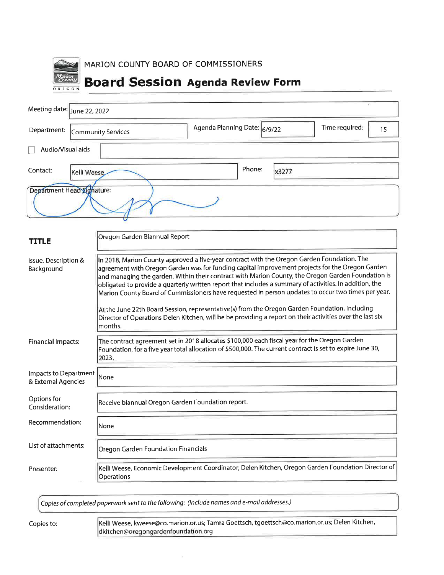

| Meeting date: June 22, 2022 |                    |                              |       | $\sim$               |  |
|-----------------------------|--------------------|------------------------------|-------|----------------------|--|
| Department:                 | Community Services | Agenda Planning Date: 6/9/22 |       | Time required:<br>15 |  |
| Audio/Visual aids           |                    |                              |       |                      |  |
| Contact:                    | Kelli Weese        | Phone:                       | x3277 |                      |  |
| Department Head Signature:  |                    |                              |       |                      |  |

| <b>TITLE</b>                                 | Oregon Garden Biannual Report                                                                                                                                                                                                                                                                                                                                                                                                                                                                                                                                                                                           |
|----------------------------------------------|-------------------------------------------------------------------------------------------------------------------------------------------------------------------------------------------------------------------------------------------------------------------------------------------------------------------------------------------------------------------------------------------------------------------------------------------------------------------------------------------------------------------------------------------------------------------------------------------------------------------------|
| Issue, Description &<br>Background           | In 2018, Marion County approved a five-year contract with the Oregon Garden Foundation. The<br>agreement with Oregon Garden was for funding capital improvement projects for the Oregon Garden<br>and managing the garden. Within their contract with Marion County, the Oregon Garden Foundation is<br>obligated to provide a quarterly written report that includes a summary of activities. In addition, the<br>Marion County Board of Commissioners have requested in person updates to occur two times per year.<br>At the June 22th Board Session, representative(s) from the Oregon Garden Foundation, including |
|                                              | Director of Operations Delen Kitchen, will be be providing a report on their activities over the last six<br>months.                                                                                                                                                                                                                                                                                                                                                                                                                                                                                                    |
| <b>Financial Impacts:</b>                    | The contract agreement set in 2018 allocates \$100,000 each fiscal year for the Oregon Garden<br>Foundation, for a five year total allocation of \$500,000. The current contract is set to expire June 30,<br>2023.                                                                                                                                                                                                                                                                                                                                                                                                     |
| Impacts to Department<br>& External Agencies | None                                                                                                                                                                                                                                                                                                                                                                                                                                                                                                                                                                                                                    |
| Options for<br>Consideration:                | Receive biannual Oregon Garden Foundation report.                                                                                                                                                                                                                                                                                                                                                                                                                                                                                                                                                                       |
| Recommendation:                              | None                                                                                                                                                                                                                                                                                                                                                                                                                                                                                                                                                                                                                    |
| List of attachments:                         | Oregon Garden Foundation Financials                                                                                                                                                                                                                                                                                                                                                                                                                                                                                                                                                                                     |
| Presenter:                                   | Kelli Weese, Economic Development Coordinator; Delen Kitchen, Oregon Garden Foundation Director of<br>Operations                                                                                                                                                                                                                                                                                                                                                                                                                                                                                                        |

Copies of completed paperwork sent to the following: (Include names and e-mail addresses.)

Copies to:

Kelli Weese, kweese@co.marion.or.us; Tamra Goettsch, tgoettsch@co.marion.or.us; Delen Kitchen, dkitchen@oregongardenfoundation.org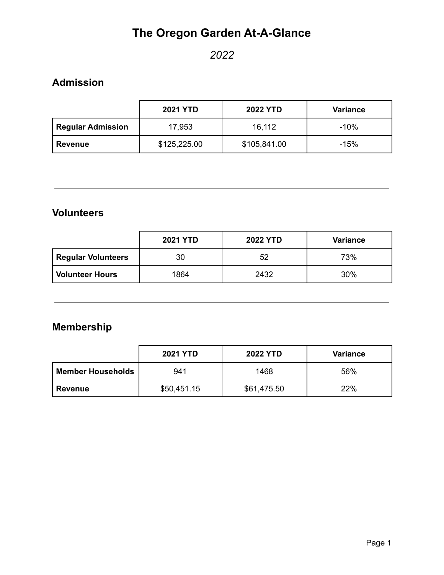# **The Oregon Garden At-A-Glance**

### *2022*

### **Admission**

|                          | <b>2021 YTD</b> | <b>2022 YTD</b> | <b>Variance</b> |
|--------------------------|-----------------|-----------------|-----------------|
| <b>Regular Admission</b> | 17,953          | 16,112          | $-10%$          |
| Revenue                  | \$125,225.00    | \$105,841.00    | $-15%$          |

#### **Volunteers**

|                           | <b>2021 YTD</b> | <b>2022 YTD</b> | <b>Variance</b> |
|---------------------------|-----------------|-----------------|-----------------|
| <b>Regular Volunteers</b> | 30              | 52              | 73%             |
| <b>Volunteer Hours</b>    | 1864            | 2432            | 30%             |

## **Membership**

|                          | <b>2021 YTD</b> | <b>2022 YTD</b> | <b>Variance</b> |
|--------------------------|-----------------|-----------------|-----------------|
| <b>Member Households</b> | 941             | 1468            | 56%             |
| <b>Revenue</b>           | \$50,451.15     | \$61,475.50     | 22%             |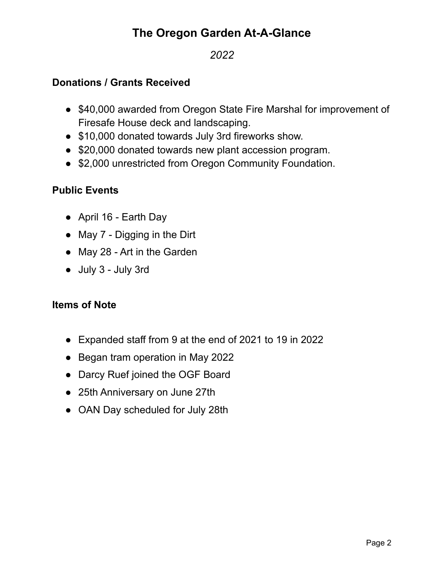## **The Oregon Garden At-A-Glance**

### *2022*

#### **Donations / Grants Received**

- \$40,000 awarded from Oregon State Fire Marshal for improvement of Firesafe House deck and landscaping.
- \$10,000 donated towards July 3rd fireworks show.
- \$20,000 donated towards new plant accession program.
- \$2,000 unrestricted from Oregon Community Foundation.

#### **Public Events**

- April 16 Earth Day
- May 7 Digging in the Dirt
- May 28 Art in the Garden
- July 3 July 3rd

#### **Items of Note**

- Expanded staff from 9 at the end of 2021 to 19 in 2022
- Began tram operation in May 2022
- Darcy Ruef joined the OGF Board
- 25th Anniversary on June 27th
- OAN Day scheduled for July 28th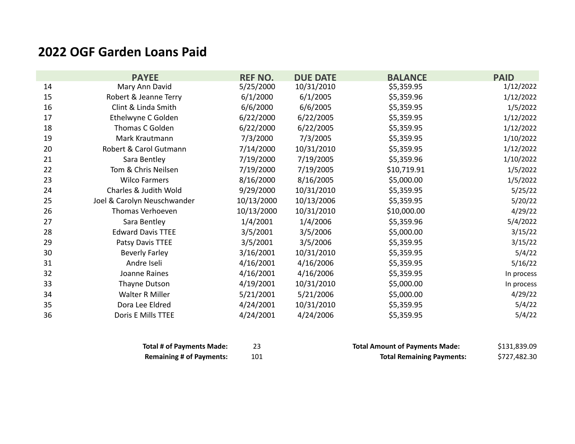# **2022 OGF Garden Loans Paid**

|    | <b>PAYEE</b>                | <b>REF NO.</b> | <b>DUE DATE</b> | <b>BALANCE</b> | <b>PAID</b> |
|----|-----------------------------|----------------|-----------------|----------------|-------------|
| 14 | Mary Ann David              | 5/25/2000      | 10/31/2010      | \$5,359.95     | 1/12/2022   |
| 15 | Robert & Jeanne Terry       | 6/1/2000       | 6/1/2005        | \$5,359.96     | 1/12/2022   |
| 16 | Clint & Linda Smith         | 6/6/2000       | 6/6/2005        | \$5,359.95     | 1/5/2022    |
| 17 | Ethelwyne C Golden          | 6/22/2000      | 6/22/2005       | \$5,359.95     | 1/12/2022   |
| 18 | Thomas C Golden             | 6/22/2000      | 6/22/2005       | \$5,359.95     | 1/12/2022   |
| 19 | Mark Krautmann              | 7/3/2000       | 7/3/2005        | \$5,359.95     | 1/10/2022   |
| 20 | Robert & Carol Gutmann      | 7/14/2000      | 10/31/2010      | \$5,359.95     | 1/12/2022   |
| 21 | Sara Bentley                | 7/19/2000      | 7/19/2005       | \$5,359.96     | 1/10/2022   |
| 22 | Tom & Chris Neilsen         | 7/19/2000      | 7/19/2005       | \$10,719.91    | 1/5/2022    |
| 23 | <b>Wilco Farmers</b>        | 8/16/2000      | 8/16/2005       | \$5,000.00     | 1/5/2022    |
| 24 | Charles & Judith Wold       | 9/29/2000      | 10/31/2010      | \$5,359.95     | 5/25/22     |
| 25 | Joel & Carolyn Neuschwander | 10/13/2000     | 10/13/2006      | \$5,359.95     | 5/20/22     |
| 26 | Thomas Verhoeven            | 10/13/2000     | 10/31/2010      | \$10,000.00    | 4/29/22     |
| 27 | Sara Bentley                | 1/4/2001       | 1/4/2006        | \$5,359.96     | 5/4/2022    |
| 28 | <b>Edward Davis TTEE</b>    | 3/5/2001       | 3/5/2006        | \$5,000.00     | 3/15/22     |
| 29 | Patsy Davis TTEE            | 3/5/2001       | 3/5/2006        | \$5,359.95     | 3/15/22     |
| 30 | <b>Beverly Farley</b>       | 3/16/2001      | 10/31/2010      | \$5,359.95     | 5/4/22      |
| 31 | Andre Iseli                 | 4/16/2001      | 4/16/2006       | \$5,359.95     | 5/16/22     |
| 32 | Joanne Raines               | 4/16/2001      | 4/16/2006       | \$5,359.95     | In process  |
| 33 | Thayne Dutson               | 4/19/2001      | 10/31/2010      | \$5,000.00     | In process  |
| 34 | Walter R Miller             | 5/21/2001      | 5/21/2006       | \$5,000.00     | 4/29/22     |
| 35 | Dora Lee Eldred             | 4/24/2001      | 10/31/2010      | \$5,359.95     | 5/4/22      |
| 36 | Doris E Mills TTEE          | 4/24/2001      | 4/24/2006       | \$5,359.95     | 5/4/22      |

| <b>Total # of Payments Made:</b> |     | <b>Total Amount of Payments Made:</b> | \$131,839.09 |
|----------------------------------|-----|---------------------------------------|--------------|
| <b>Remaining # of Payments:</b>  | 101 | <b>Total Remaining Payments:</b>      | \$727,482.30 |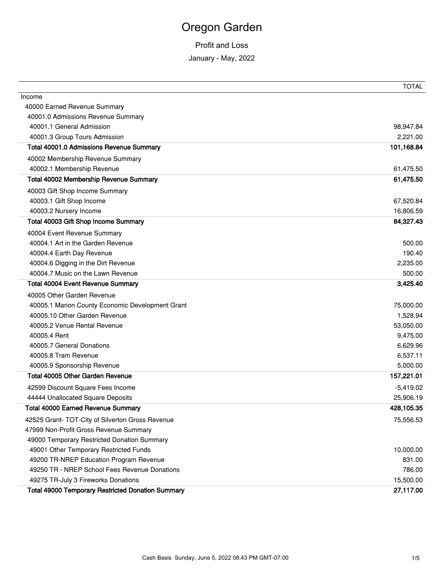# Oregon Garden

#### Profit and Loss

January - May, 2022

|                                                          | <b>TOTAL</b> |
|----------------------------------------------------------|--------------|
| Income                                                   |              |
| 40000 Earned Revenue Summary                             |              |
| 40001.0 Admissions Revenue Summary                       |              |
| 40001.1 General Admission                                | 98,947.84    |
| 40001.3 Group Tours Admission                            | 2,221.00     |
| Total 40001.0 Admissions Revenue Summary                 | 101,168.84   |
| 40002 Membership Revenue Summary                         |              |
| 40002.1 Membership Revenue                               | 61,475.50    |
| Total 40002 Membership Revenue Summary                   | 61,475.50    |
| 40003 Gift Shop Income Summary                           |              |
| 40003.1 Gift Shop Income                                 | 67,520.84    |
| 40003.2 Nursery Income                                   | 16,806.59    |
| Total 40003 Gift Shop Income Summary                     | 84,327.43    |
| 40004 Event Revenue Summary                              |              |
| 40004.1 Art in the Garden Revenue                        | 500.00       |
| 40004.4 Earth Day Revenue                                | 190.40       |
| 40004.6 Digging in the Dirt Revenue                      | 2,235.00     |
| 40004.7 Music on the Lawn Revenue                        | 500.00       |
| <b>Total 40004 Event Revenue Summary</b>                 | 3,425.40     |
| 40005 Other Garden Revenue                               |              |
| 40005.1 Marion County Economic Development Grant         | 75,000.00    |
| 40005.10 Other Garden Revenue                            | 1,528.94     |
| 40005.2 Venue Rental Revenue                             | 53,050.00    |
| 40005.4 Rent                                             | 9,475.00     |
| 40005.7 General Donations                                | 6,629.96     |
| 40005.8 Tram Revenue                                     | 6,537.11     |
| 40005.9 Sponsorship Revenue                              | 5,000.00     |
| Total 40005 Other Garden Revenue                         | 157,221.01   |
| 42599 Discount Square Fees Income                        | $-5,419.02$  |
| 44444 Unallocated Square Deposits                        | 25,906.19    |
| <b>Total 40000 Earned Revenue Summary</b>                | 428,105.35   |
| 42525 Grant- TOT-City of Silverton Gross Revenue         | 75,556.53    |
| 47999 Non-Profit Gross Revenue Summary                   |              |
| 49000 Temporary Restricted Donation Summary              |              |
| 49001 Other Temporary Restricted Funds                   | 10,000.00    |
| 49200 TR-NREP Education Program Revenue                  | 831.00       |
| 49250 TR - NREP School Fees Revenue Donations            | 786.00       |
| 49275 TR-July 3 Fireworks Donations                      | 15,500.00    |
| <b>Total 49000 Temporary Restricted Donation Summary</b> | 27,117.00    |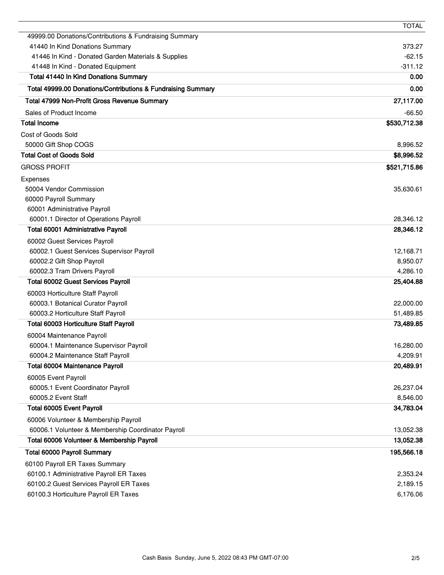|                                                              | <b>TOTAL</b> |
|--------------------------------------------------------------|--------------|
| 49999.00 Donations/Contributions & Fundraising Summary       |              |
| 41440 In Kind Donations Summary                              | 373.27       |
| 41446 In Kind - Donated Garden Materials & Supplies          | $-62.15$     |
| 41448 In Kind - Donated Equipment                            | $-311.12$    |
| <b>Total 41440 In Kind Donations Summary</b>                 | 0.00         |
| Total 49999.00 Donations/Contributions & Fundraising Summary | 0.00         |
| Total 47999 Non-Profit Gross Revenue Summary                 | 27,117.00    |
| Sales of Product Income                                      | $-66.50$     |
| <b>Total Income</b>                                          | \$530,712.38 |
| Cost of Goods Sold                                           |              |
| 50000 Gift Shop COGS                                         | 8,996.52     |
| <b>Total Cost of Goods Sold</b>                              | \$8,996.52   |
| <b>GROSS PROFIT</b>                                          | \$521,715.86 |
| Expenses                                                     |              |
| 50004 Vendor Commission                                      | 35,630.61    |
| 60000 Payroll Summary                                        |              |
| 60001 Administrative Payroll                                 |              |
| 60001.1 Director of Operations Payroll                       | 28,346.12    |
| Total 60001 Administrative Payroll                           | 28,346.12    |
| 60002 Guest Services Payroll                                 |              |
| 60002.1 Guest Services Supervisor Payroll                    | 12,168.71    |
| 60002.2 Gift Shop Payroll                                    | 8,950.07     |
| 60002.3 Tram Drivers Payroll                                 | 4,286.10     |
| <b>Total 60002 Guest Services Payroll</b>                    | 25,404.88    |
| 60003 Horticulture Staff Payroll                             |              |
| 60003.1 Botanical Curator Payroll                            | 22,000.00    |
| 60003.2 Horticulture Staff Payroll                           | 51,489.85    |
| <b>Total 60003 Horticulture Staff Payroll</b>                | 73,489.85    |
| 60004 Maintenance Payroll                                    |              |
| 60004.1 Maintenance Supervisor Payroll                       | 16,280.00    |
| 60004.2 Maintenance Staff Payroll                            | 4,209.91     |
| <b>Total 60004 Maintenance Payroll</b>                       | 20,489.91    |
| 60005 Event Payroll                                          |              |
| 60005.1 Event Coordinator Payroll                            | 26,237.04    |
| 60005.2 Event Staff                                          | 8,546.00     |
| Total 60005 Event Payroll                                    | 34,783.04    |
| 60006 Volunteer & Membership Payroll                         |              |
| 60006.1 Volunteer & Membership Coordinator Payroll           | 13,052.38    |
| Total 60006 Volunteer & Membership Payroll                   | 13,052.38    |
| <b>Total 60000 Payroll Summary</b>                           | 195,566.18   |
| 60100 Payroll ER Taxes Summary                               |              |
| 60100.1 Administrative Payroll ER Taxes                      | 2,353.24     |
| 60100.2 Guest Services Payroll ER Taxes                      | 2,189.15     |
| 60100.3 Horticulture Payroll ER Taxes                        | 6,176.06     |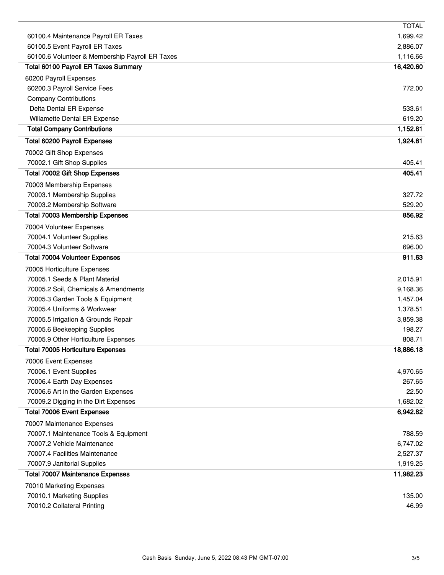|                                                                    | <b>TOTAL</b>         |
|--------------------------------------------------------------------|----------------------|
| 60100.4 Maintenance Payroll ER Taxes                               | 1,699.42             |
| 60100.5 Event Payroll ER Taxes                                     | 2,886.07             |
| 60100.6 Volunteer & Membership Payroll ER Taxes                    | 1,116.66             |
| <b>Total 60100 Payroll ER Taxes Summary</b>                        | 16,420.60            |
| 60200 Payroll Expenses                                             |                      |
| 60200.3 Payroll Service Fees                                       | 772.00               |
| <b>Company Contributions</b>                                       |                      |
| Delta Dental ER Expense                                            | 533.61               |
| Willamette Dental ER Expense<br><b>Total Company Contributions</b> | 619.20<br>1,152.81   |
|                                                                    |                      |
| <b>Total 60200 Payroll Expenses</b>                                | 1,924.81             |
| 70002 Gift Shop Expenses                                           |                      |
| 70002.1 Gift Shop Supplies                                         | 405.41               |
| Total 70002 Gift Shop Expenses                                     | 405.41               |
| 70003 Membership Expenses                                          |                      |
| 70003.1 Membership Supplies                                        | 327.72               |
| 70003.2 Membership Software                                        | 529.20               |
| <b>Total 70003 Membership Expenses</b>                             | 856.92               |
| 70004 Volunteer Expenses                                           |                      |
| 70004.1 Volunteer Supplies                                         | 215.63               |
| 70004.3 Volunteer Software                                         | 696.00<br>911.63     |
| <b>Total 70004 Volunteer Expenses</b>                              |                      |
| 70005 Horticulture Expenses<br>70005.1 Seeds & Plant Material      |                      |
| 70005.2 Soil, Chemicals & Amendments                               | 2,015.91<br>9,168.36 |
| 70005.3 Garden Tools & Equipment                                   | 1,457.04             |
| 70005.4 Uniforms & Workwear                                        | 1,378.51             |
| 70005.5 Irrigation & Grounds Repair                                | 3,859.38             |
| 70005.6 Beekeeping Supplies                                        | 198.27               |
| 70005.9 Other Horticulture Expenses                                | 808.71               |
| <b>Total 70005 Horticulture Expenses</b>                           | 18,886.18            |
| 70006 Event Expenses                                               |                      |
| 70006.1 Event Supplies                                             | 4,970.65             |
| 70006.4 Earth Day Expenses                                         | 267.65               |
| 70006.6 Art in the Garden Expenses                                 | 22.50                |
| 70009.2 Digging in the Dirt Expenses                               | 1,682.02             |
| <b>Total 70006 Event Expenses</b>                                  | 6,942.82             |
| 70007 Maintenance Expenses                                         |                      |
| 70007.1 Maintenance Tools & Equipment                              | 788.59               |
| 70007.2 Vehicle Maintenance                                        | 6,747.02             |
| 70007.4 Facilities Maintenance                                     | 2,527.37             |
| 70007.9 Janitorial Supplies                                        | 1,919.25             |
| <b>Total 70007 Maintenance Expenses</b>                            | 11,982.23            |
| 70010 Marketing Expenses                                           |                      |
| 70010.1 Marketing Supplies                                         | 135.00               |
| 70010.2 Collateral Printing                                        | 46.99                |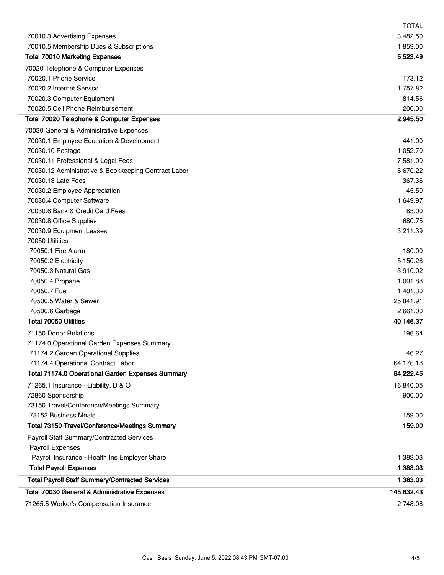|                                                        | <b>TOTAL</b> |
|--------------------------------------------------------|--------------|
| 70010.3 Advertising Expenses                           | 3,482.50     |
| 70010.5 Membership Dues & Subscriptions                | 1,859.00     |
| <b>Total 70010 Marketing Expenses</b>                  | 5,523.49     |
| 70020 Telephone & Computer Expenses                    |              |
| 70020.1 Phone Service                                  | 173.12       |
| 70020.2 Internet Service                               | 1,757.82     |
| 70020.3 Computer Equipment                             | 814.56       |
| 70020.5 Cell Phone Reimbursement                       | 200.00       |
| Total 70020 Telephone & Computer Expenses              | 2,945.50     |
| 70030 General & Administrative Expenses                |              |
| 70030.1 Employee Education & Development               | 441.00       |
| 70030.10 Postage                                       | 1,052.70     |
| 70030.11 Professional & Legal Fees                     | 7,581.00     |
| 70030.12 Administrative & Bookkeeping Contract Labor   | 6,670.22     |
| 70030.13 Late Fees                                     | 367.36       |
| 70030.2 Employee Appreciation                          | 45.50        |
| 70030.4 Computer Software                              | 1,649.97     |
| 70030.6 Bank & Credit Card Fees                        | 85.00        |
| 70030.8 Office Supplies                                | 680.75       |
| 70030.9 Equipment Leases                               | 3,211.39     |
| 70050 Utilities                                        |              |
| 70050.1 Fire Alarm                                     | 180.00       |
| 70050.2 Electricity                                    | 5,150.26     |
| 70050.3 Natural Gas                                    | 3,910.02     |
| 70050.4 Propane                                        | 1,001.88     |
| 70050.7 Fuel                                           | 1,401.30     |
| 70500.5 Water & Sewer                                  | 25,841.91    |
| 70500.6 Garbage                                        | 2,661.00     |
| <b>Total 70050 Utilities</b>                           | 40,146.37    |
| 71150 Donor Relations                                  | 196.64       |
| 71174.0 Operational Garden Expenses Summary            |              |
| 71174.2 Garden Operational Supplies                    | 46.27        |
| 71174.4 Operational Contract Labor                     | 64,176.18    |
| Total 71174.0 Operational Garden Expenses Summary      | 64,222.45    |
| 71265.1 Insurance - Liability, D & O                   | 16,840.05    |
| 72860 Sponsorship                                      | 900.00       |
| 73150 Travel/Conference/Meetings Summary               |              |
| 73152 Business Meals                                   | 159.00       |
| Total 73150 Travel/Conference/Meetings Summary         | 159.00       |
| Payroll Staff Summary/Contracted Services              |              |
| Payroll Expenses                                       |              |
| Payroll Insurance - Health Ins Employer Share          | 1,383.03     |
| <b>Total Payroll Expenses</b>                          | 1,383.03     |
|                                                        |              |
| <b>Total Payroll Staff Summary/Contracted Services</b> | 1,383.03     |
| Total 70030 General & Administrative Expenses          | 145,632.43   |
| 71265.5 Worker's Compensation Insurance                | 2,748.08     |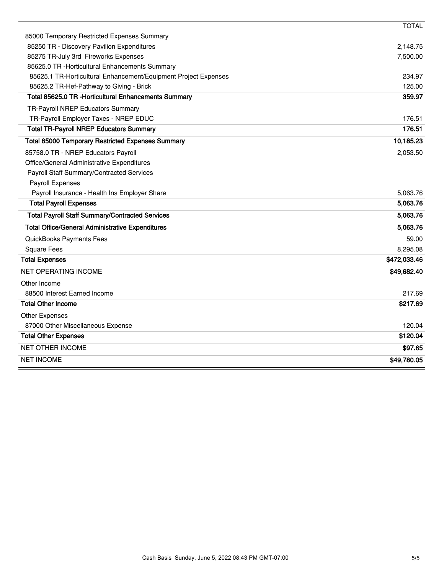|                                                                 | <b>TOTAL</b> |
|-----------------------------------------------------------------|--------------|
| 85000 Temporary Restricted Expenses Summary                     |              |
| 85250 TR - Discovery Pavilion Expenditures                      | 2,148.75     |
| 85275 TR-July 3rd Fireworks Expenses                            | 7,500.00     |
| 85625.0 TR - Horticultural Enhancements Summary                 |              |
| 85625.1 TR-Horticultural Enhancement/Equipment Project Expenses | 234.97       |
| 85625.2 TR-Hef-Pathway to Giving - Brick                        | 125.00       |
| Total 85625.0 TR - Horticultural Enhancements Summary           | 359.97       |
| TR-Payroll NREP Educators Summary                               |              |
| TR-Payroll Employer Taxes - NREP EDUC                           | 176.51       |
| <b>Total TR-Payroll NREP Educators Summary</b>                  | 176.51       |
| <b>Total 85000 Temporary Restricted Expenses Summary</b>        | 10,185.23    |
| 85758.0 TR - NREP Educators Payroll                             | 2,053.50     |
| Office/General Administrative Expenditures                      |              |
| Payroll Staff Summary/Contracted Services                       |              |
| Payroll Expenses                                                |              |
| Payroll Insurance - Health Ins Employer Share                   | 5,063.76     |
| <b>Total Payroll Expenses</b>                                   | 5,063.76     |
| <b>Total Payroll Staff Summary/Contracted Services</b>          | 5,063.76     |
| <b>Total Office/General Administrative Expenditures</b>         | 5,063.76     |
| QuickBooks Payments Fees                                        | 59.00        |
| <b>Square Fees</b>                                              | 8,295.08     |
| <b>Total Expenses</b>                                           | \$472,033.46 |
| NET OPERATING INCOME                                            | \$49,682.40  |
| Other Income                                                    |              |
| 88500 Interest Earned Income                                    | 217.69       |
| <b>Total Other Income</b>                                       | \$217.69     |
| Other Expenses                                                  |              |
| 87000 Other Miscellaneous Expense                               | 120.04       |
| <b>Total Other Expenses</b>                                     | \$120.04     |
| <b>NET OTHER INCOME</b>                                         | \$97.65      |
| <b>NET INCOME</b>                                               | \$49,780.05  |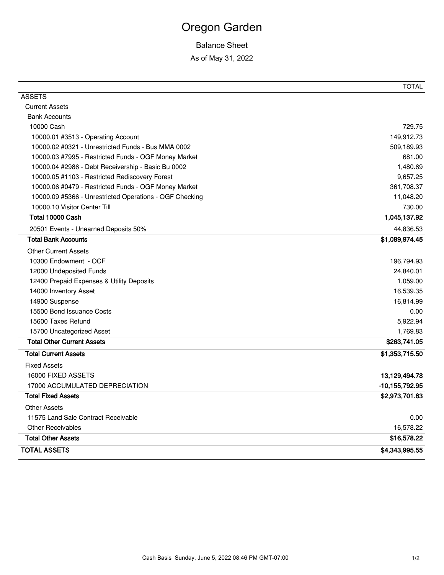# Oregon Garden

### Balance Sheet

As of May 31, 2022

| <b>ASSETS</b><br><b>Current Assets</b><br><b>Bank Accounts</b><br>729.75<br>10000 Cash<br>149,912.73<br>10000.01 #3513 - Operating Account<br>509,189.93<br>10000.02 #0321 - Unrestricted Funds - Bus MMA 0002<br>681.00<br>10000.03 #7995 - Restricted Funds - OGF Money Market<br>1,480.69<br>10000.04 #2986 - Debt Receivership - Basic Bu 0002<br>9,657.25<br>10000.05 #1103 - Restricted Rediscovery Forest<br>10000.06 #0479 - Restricted Funds - OGF Money Market<br>361,708.37<br>10000.09 #5366 - Unrestricted Operations - OGF Checking<br>11,048.20<br>10000.10 Visitor Center Till<br>730.00<br>Total 10000 Cash<br>1,045,137.92<br>44,836.53<br>20501 Events - Unearned Deposits 50%<br><b>Total Bank Accounts</b><br>\$1,089,974.45<br><b>Other Current Assets</b><br>10300 Endowment - OCF<br>196,794.93<br>12000 Undeposited Funds<br>24,840.01<br>1,059.00<br>12400 Prepaid Expenses & Utility Deposits<br>16,539.35<br>14000 Inventory Asset<br>14900 Suspense<br>16,814.99<br>15500 Bond Issuance Costs<br>0.00<br>15600 Taxes Refund<br>5,922.94<br>15700 Uncategorized Asset<br>1,769.83<br><b>Total Other Current Assets</b><br>\$263,741.05<br><b>Total Current Assets</b><br>\$1,353,715.50<br><b>Fixed Assets</b><br>16000 FIXED ASSETS<br>13,129,494.78<br>17000 ACCUMULATED DEPRECIATION<br>$-10, 155, 792.95$<br><b>Total Fixed Assets</b><br>\$2,973,701.83<br><b>Other Assets</b><br>11575 Land Sale Contract Receivable<br>0.00<br><b>Other Receivables</b><br>16,578.22<br><b>Total Other Assets</b><br>\$16,578.22<br><b>TOTAL ASSETS</b><br>\$4,343,995.55 | <b>TOTAL</b> |
|----------------------------------------------------------------------------------------------------------------------------------------------------------------------------------------------------------------------------------------------------------------------------------------------------------------------------------------------------------------------------------------------------------------------------------------------------------------------------------------------------------------------------------------------------------------------------------------------------------------------------------------------------------------------------------------------------------------------------------------------------------------------------------------------------------------------------------------------------------------------------------------------------------------------------------------------------------------------------------------------------------------------------------------------------------------------------------------------------------------------------------------------------------------------------------------------------------------------------------------------------------------------------------------------------------------------------------------------------------------------------------------------------------------------------------------------------------------------------------------------------------------------------------------------------------------------------------------------|--------------|
|                                                                                                                                                                                                                                                                                                                                                                                                                                                                                                                                                                                                                                                                                                                                                                                                                                                                                                                                                                                                                                                                                                                                                                                                                                                                                                                                                                                                                                                                                                                                                                                              |              |
|                                                                                                                                                                                                                                                                                                                                                                                                                                                                                                                                                                                                                                                                                                                                                                                                                                                                                                                                                                                                                                                                                                                                                                                                                                                                                                                                                                                                                                                                                                                                                                                              |              |
|                                                                                                                                                                                                                                                                                                                                                                                                                                                                                                                                                                                                                                                                                                                                                                                                                                                                                                                                                                                                                                                                                                                                                                                                                                                                                                                                                                                                                                                                                                                                                                                              |              |
|                                                                                                                                                                                                                                                                                                                                                                                                                                                                                                                                                                                                                                                                                                                                                                                                                                                                                                                                                                                                                                                                                                                                                                                                                                                                                                                                                                                                                                                                                                                                                                                              |              |
|                                                                                                                                                                                                                                                                                                                                                                                                                                                                                                                                                                                                                                                                                                                                                                                                                                                                                                                                                                                                                                                                                                                                                                                                                                                                                                                                                                                                                                                                                                                                                                                              |              |
|                                                                                                                                                                                                                                                                                                                                                                                                                                                                                                                                                                                                                                                                                                                                                                                                                                                                                                                                                                                                                                                                                                                                                                                                                                                                                                                                                                                                                                                                                                                                                                                              |              |
|                                                                                                                                                                                                                                                                                                                                                                                                                                                                                                                                                                                                                                                                                                                                                                                                                                                                                                                                                                                                                                                                                                                                                                                                                                                                                                                                                                                                                                                                                                                                                                                              |              |
|                                                                                                                                                                                                                                                                                                                                                                                                                                                                                                                                                                                                                                                                                                                                                                                                                                                                                                                                                                                                                                                                                                                                                                                                                                                                                                                                                                                                                                                                                                                                                                                              |              |
|                                                                                                                                                                                                                                                                                                                                                                                                                                                                                                                                                                                                                                                                                                                                                                                                                                                                                                                                                                                                                                                                                                                                                                                                                                                                                                                                                                                                                                                                                                                                                                                              |              |
|                                                                                                                                                                                                                                                                                                                                                                                                                                                                                                                                                                                                                                                                                                                                                                                                                                                                                                                                                                                                                                                                                                                                                                                                                                                                                                                                                                                                                                                                                                                                                                                              |              |
|                                                                                                                                                                                                                                                                                                                                                                                                                                                                                                                                                                                                                                                                                                                                                                                                                                                                                                                                                                                                                                                                                                                                                                                                                                                                                                                                                                                                                                                                                                                                                                                              |              |
|                                                                                                                                                                                                                                                                                                                                                                                                                                                                                                                                                                                                                                                                                                                                                                                                                                                                                                                                                                                                                                                                                                                                                                                                                                                                                                                                                                                                                                                                                                                                                                                              |              |
|                                                                                                                                                                                                                                                                                                                                                                                                                                                                                                                                                                                                                                                                                                                                                                                                                                                                                                                                                                                                                                                                                                                                                                                                                                                                                                                                                                                                                                                                                                                                                                                              |              |
|                                                                                                                                                                                                                                                                                                                                                                                                                                                                                                                                                                                                                                                                                                                                                                                                                                                                                                                                                                                                                                                                                                                                                                                                                                                                                                                                                                                                                                                                                                                                                                                              |              |
|                                                                                                                                                                                                                                                                                                                                                                                                                                                                                                                                                                                                                                                                                                                                                                                                                                                                                                                                                                                                                                                                                                                                                                                                                                                                                                                                                                                                                                                                                                                                                                                              |              |
|                                                                                                                                                                                                                                                                                                                                                                                                                                                                                                                                                                                                                                                                                                                                                                                                                                                                                                                                                                                                                                                                                                                                                                                                                                                                                                                                                                                                                                                                                                                                                                                              |              |
|                                                                                                                                                                                                                                                                                                                                                                                                                                                                                                                                                                                                                                                                                                                                                                                                                                                                                                                                                                                                                                                                                                                                                                                                                                                                                                                                                                                                                                                                                                                                                                                              |              |
|                                                                                                                                                                                                                                                                                                                                                                                                                                                                                                                                                                                                                                                                                                                                                                                                                                                                                                                                                                                                                                                                                                                                                                                                                                                                                                                                                                                                                                                                                                                                                                                              |              |
|                                                                                                                                                                                                                                                                                                                                                                                                                                                                                                                                                                                                                                                                                                                                                                                                                                                                                                                                                                                                                                                                                                                                                                                                                                                                                                                                                                                                                                                                                                                                                                                              |              |
|                                                                                                                                                                                                                                                                                                                                                                                                                                                                                                                                                                                                                                                                                                                                                                                                                                                                                                                                                                                                                                                                                                                                                                                                                                                                                                                                                                                                                                                                                                                                                                                              |              |
|                                                                                                                                                                                                                                                                                                                                                                                                                                                                                                                                                                                                                                                                                                                                                                                                                                                                                                                                                                                                                                                                                                                                                                                                                                                                                                                                                                                                                                                                                                                                                                                              |              |
|                                                                                                                                                                                                                                                                                                                                                                                                                                                                                                                                                                                                                                                                                                                                                                                                                                                                                                                                                                                                                                                                                                                                                                                                                                                                                                                                                                                                                                                                                                                                                                                              |              |
|                                                                                                                                                                                                                                                                                                                                                                                                                                                                                                                                                                                                                                                                                                                                                                                                                                                                                                                                                                                                                                                                                                                                                                                                                                                                                                                                                                                                                                                                                                                                                                                              |              |
|                                                                                                                                                                                                                                                                                                                                                                                                                                                                                                                                                                                                                                                                                                                                                                                                                                                                                                                                                                                                                                                                                                                                                                                                                                                                                                                                                                                                                                                                                                                                                                                              |              |
|                                                                                                                                                                                                                                                                                                                                                                                                                                                                                                                                                                                                                                                                                                                                                                                                                                                                                                                                                                                                                                                                                                                                                                                                                                                                                                                                                                                                                                                                                                                                                                                              |              |
|                                                                                                                                                                                                                                                                                                                                                                                                                                                                                                                                                                                                                                                                                                                                                                                                                                                                                                                                                                                                                                                                                                                                                                                                                                                                                                                                                                                                                                                                                                                                                                                              |              |
|                                                                                                                                                                                                                                                                                                                                                                                                                                                                                                                                                                                                                                                                                                                                                                                                                                                                                                                                                                                                                                                                                                                                                                                                                                                                                                                                                                                                                                                                                                                                                                                              |              |
|                                                                                                                                                                                                                                                                                                                                                                                                                                                                                                                                                                                                                                                                                                                                                                                                                                                                                                                                                                                                                                                                                                                                                                                                                                                                                                                                                                                                                                                                                                                                                                                              |              |
|                                                                                                                                                                                                                                                                                                                                                                                                                                                                                                                                                                                                                                                                                                                                                                                                                                                                                                                                                                                                                                                                                                                                                                                                                                                                                                                                                                                                                                                                                                                                                                                              |              |
|                                                                                                                                                                                                                                                                                                                                                                                                                                                                                                                                                                                                                                                                                                                                                                                                                                                                                                                                                                                                                                                                                                                                                                                                                                                                                                                                                                                                                                                                                                                                                                                              |              |
|                                                                                                                                                                                                                                                                                                                                                                                                                                                                                                                                                                                                                                                                                                                                                                                                                                                                                                                                                                                                                                                                                                                                                                                                                                                                                                                                                                                                                                                                                                                                                                                              |              |
|                                                                                                                                                                                                                                                                                                                                                                                                                                                                                                                                                                                                                                                                                                                                                                                                                                                                                                                                                                                                                                                                                                                                                                                                                                                                                                                                                                                                                                                                                                                                                                                              |              |
|                                                                                                                                                                                                                                                                                                                                                                                                                                                                                                                                                                                                                                                                                                                                                                                                                                                                                                                                                                                                                                                                                                                                                                                                                                                                                                                                                                                                                                                                                                                                                                                              |              |
|                                                                                                                                                                                                                                                                                                                                                                                                                                                                                                                                                                                                                                                                                                                                                                                                                                                                                                                                                                                                                                                                                                                                                                                                                                                                                                                                                                                                                                                                                                                                                                                              |              |
|                                                                                                                                                                                                                                                                                                                                                                                                                                                                                                                                                                                                                                                                                                                                                                                                                                                                                                                                                                                                                                                                                                                                                                                                                                                                                                                                                                                                                                                                                                                                                                                              |              |